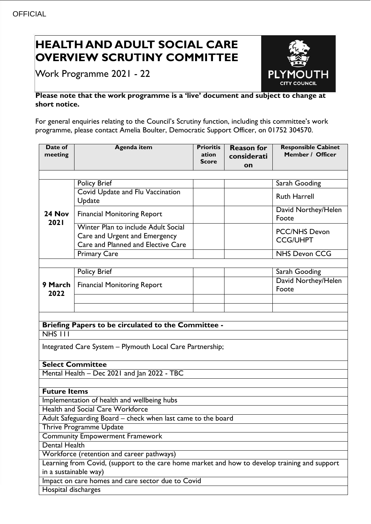## **HEALTH AND ADULT SOCIAL CARE OVERVIEW SCRUTINY COMMITTEE**

Work Programme 2021 - 22



## **Please note that the work programme is a 'live' document and subject to change at short notice.**

For general enquiries relating to the Council's Scrutiny function, including this committee's work programme, please contact Amelia Boulter, Democratic Support Officer, on 01752 304570.

| Date of<br>meeting                                           | <b>Agenda item</b>                                                                                         | <b>Prioritis</b><br>ation<br>Score | <b>Reason for</b><br>considerati<br>on | <b>Responsible Cabinet</b><br>Member / Officer |
|--------------------------------------------------------------|------------------------------------------------------------------------------------------------------------|------------------------------------|----------------------------------------|------------------------------------------------|
|                                                              |                                                                                                            |                                    |                                        |                                                |
| 24 Nov<br>2021                                               | <b>Policy Brief</b>                                                                                        |                                    |                                        | Sarah Gooding                                  |
|                                                              | Covid Update and Flu Vaccination<br>Update                                                                 |                                    |                                        | <b>Ruth Harrell</b>                            |
|                                                              | <b>Financial Monitoring Report</b>                                                                         |                                    |                                        | David Northey/Helen<br>Foote                   |
|                                                              | Winter Plan to include Adult Social<br>Care and Urgent and Emergency<br>Care and Planned and Elective Care |                                    |                                        | <b>PCC/NHS Devon</b><br><b>CCG/UHPT</b>        |
|                                                              | <b>Primary Care</b>                                                                                        |                                    |                                        | <b>NHS Devon CCG</b>                           |
|                                                              |                                                                                                            |                                    |                                        |                                                |
| 9 March<br>2022                                              | <b>Policy Brief</b>                                                                                        |                                    |                                        | Sarah Gooding                                  |
|                                                              | <b>Financial Monitoring Report</b>                                                                         |                                    |                                        | David Northey/Helen<br>Foote                   |
|                                                              |                                                                                                            |                                    |                                        |                                                |
|                                                              |                                                                                                            |                                    |                                        |                                                |
| Briefing Papers to be circulated to the Committee -          |                                                                                                            |                                    |                                        |                                                |
| NHS III                                                      |                                                                                                            |                                    |                                        |                                                |
| Integrated Care System - Plymouth Local Care Partnership;    |                                                                                                            |                                    |                                        |                                                |
| <b>Select Committee</b>                                      |                                                                                                            |                                    |                                        |                                                |
| Mental Health - Dec 2021 and Jan 2022 - TBC                  |                                                                                                            |                                    |                                        |                                                |
|                                                              |                                                                                                            |                                    |                                        |                                                |
| <b>Future Items</b>                                          |                                                                                                            |                                    |                                        |                                                |
| Implementation of health and wellbeing hubs                  |                                                                                                            |                                    |                                        |                                                |
| <b>Health and Social Care Workforce</b>                      |                                                                                                            |                                    |                                        |                                                |
| Adult Safeguarding Board – check when last came to the board |                                                                                                            |                                    |                                        |                                                |
| Thrive Programme Update                                      |                                                                                                            |                                    |                                        |                                                |
|                                                              |                                                                                                            |                                    |                                        |                                                |
|                                                              | <b>Community Empowerment Framework</b>                                                                     |                                    |                                        |                                                |
| Dental Health                                                |                                                                                                            |                                    |                                        |                                                |
|                                                              | Workforce (retention and career pathways)                                                                  |                                    |                                        |                                                |
|                                                              | Learning from Covid, (support to the care home market and how to develop training and support              |                                    |                                        |                                                |
| in a sustainable way)                                        | Impact on care homes and care sector due to Covid                                                          |                                    |                                        |                                                |